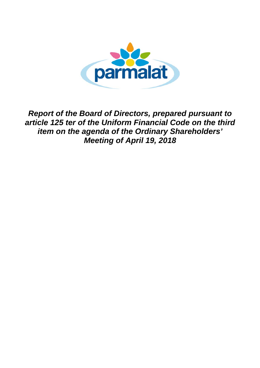

*Report of the Board of Directors, prepared pursuant to article 125 ter of the Uniform Financial Code on the third item on the agenda of the Ordinary Shareholders' Meeting of April 19, 2018*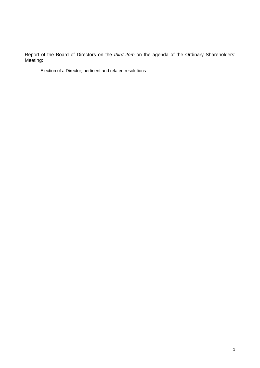Report of the Board of Directors on the *third item* on the agenda of the Ordinary Shareholders' Meeting:

- Election of a Director; pertinent and related resolutions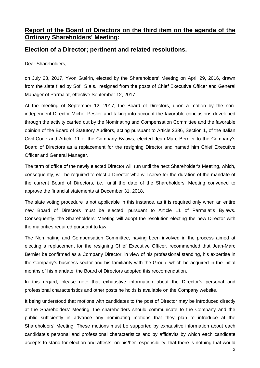## **Report of the Board of Directors on the third item on the agenda of the Ordinary Shareholders' Meeting:**

## **Election of a Director; pertinent and related resolutions.**

Dear Shareholders,

on July 28, 2017, Yvon Guérin, elected by the Shareholders' Meeting on April 29, 2016, drawn from the slate filed by Sofil S.a.s., resigned from the posts of Chief Executive Officer and General Manager of Parmalat, effective September 12, 2017.

At the meeting of September 12, 2017, the Board of Directors, upon a motion by the nonindependent Director Michel Peslier and taking into account the favorable conclusions developed through the activity carried out by the Nominating and Compensation Committee and the favorable opinion of the Board of Statutory Auditors, acting pursuant to Article 2386, Section 1, of the Italian Civil Code and Article 11 of the Company Bylaws, elected Jean-Marc Bernier to the Company's Board of Directors as a replacement for the resigning Director and named him Chief Executive Officer and General Manager.

The term of office of the newly elected Director will run until the next Shareholder's Meeting, which, consequently, will be required to elect a Director who will serve for the duration of the mandate of the current Board of Directors, i.e., until the date of the Shareholders' Meeting convened to approve the financial statements at December 31, 2018.

The slate voting procedure is not applicable in this instance, as it is required only when an entire new Board of Directors must be elected, pursuant to Article 11 of Parmalat's Bylaws. Consequently, the Shareholders' Meeting will adopt the resolution electing the new Director with the majorities required pursuant to law.

The Nominating and Compensation Committee, having been involved in the process aimed at electing a replacement for the resigning Chief Executive Officer, recommended that Jean-Marc Bernier be confirmed as a Company Director, in view of his professional standing, his expertise in the Company's business sector and his familiarity with the Group, which he acquired in the initial months of his mandate; the Board of Directors adopted this reccomendation.

In this regard, please note that exhaustive information about the Director's personal and professional characteristics and other posts he holds is available on the Company website.

It being understood that motions with candidates to the post of Director may be introduced directly at the Shareholders' Meeting, the shareholders should communicate to the Company and the public sufficiently in advance any nominating motions that they plan to introduce at the Shareholders' Meeting. These motions must be supported by exhaustive information about each candidate's personal and professional characteristics and by affidavits by which each candidate accepts to stand for election and attests, on his/her responsibility, that there is nothing that would